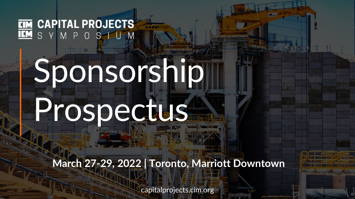**EIM CAPITAL PROJECTS IM** S Y M P O S I U M

# Sponsorship Prospectus

**March 27-29, 2022 | Toronto, Marriott Downtown**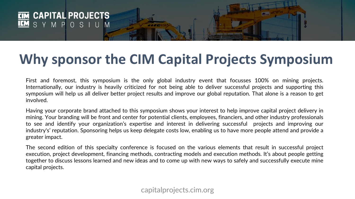

## **Why sponsor the CIM Capital Projects Symposium**

*<u>CANOR</u>* 

First and foremost, this symposium is the only global industry event that focusses 100% on mining projects. Internationally, our industry is heavily criticized for not being able to deliver successful projects and supporting this symposium will help us all deliver better project results and improve our global reputation. That alone is a reason to get involved.

Having your corporate brand attached to this symposium shows your interest to help improve capital project delivery in mining. Your branding will be front and center for potential clients, employees, financiers, and other industry professionals to see and identify your organization's expertise and interest in delivering successful projects and improving our industry's' reputation. Sponsoring helps us keep delegate costs low, enabling us to have more people attend and provide a greater impact.

The second edition of this specialty conference is focused on the various elements that result in successful project execution, project development, financing methods, contracting models and execution methods. It's about people getting together to discuss lessons learned and new ideas and to come up with new ways to safely and successfully execute mine capital projects.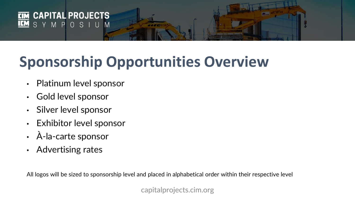

# **Sponsorship Opportunities Overview**

----

- Platinum level sponsor
- Gold level sponsor
- Silver level sponsor
- Exhibitor level sponsor
- À-la-carte sponsor
- Advertising rates

All logos will be sized to sponsorship level and placed in alphabetical order within their respective level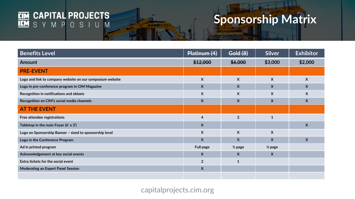

# **Sponsorship Matrix**

| <b>Benefits Level</b>                                     | Platinum (4)            | <b>Gold (8)</b>           | <b>Silver</b>           | <b>Exhibitor</b> |
|-----------------------------------------------------------|-------------------------|---------------------------|-------------------------|------------------|
| <b>Amount</b>                                             | \$12,000                | \$6,000                   | \$3,000                 | \$2,000          |
| <b>PRE-EVENT</b>                                          |                         |                           |                         |                  |
| Logo and link to company website on our symposium website | X                       | $\boldsymbol{X}$          | $\boldsymbol{X}$        | $\boldsymbol{X}$ |
| Logo in pre-conference program in CIM Magazine            | X                       | $\boldsymbol{X}$          | X                       | $\mathsf{X}$     |
| Recognition in notifications and eblasts                  | X                       | $\boldsymbol{\mathsf{X}}$ | X                       | X                |
| Recognition on CIM's social media channels                | $\mathsf{X}$            | $\boldsymbol{X}$          | $\boldsymbol{X}$        | $\boldsymbol{X}$ |
| <b>AT THE EVENT</b>                                       |                         |                           |                         |                  |
| Free attendee registrations                               | $\overline{\mathbf{4}}$ | $\overline{2}$            | $\mathbf{1}$            |                  |
| Tabletop in the main Foyer (6' x 3')                      | $\mathsf{X}$            |                           |                         | $\boldsymbol{X}$ |
| Logo on Sponsorship Banner - sized to sponsorship level   | $\mathsf{X}$            | $\boldsymbol{X}$          | $\boldsymbol{X}$        |                  |
| Logo in the Conference Program                            | $\mathsf{X}$            | $\mathsf{X}$              | $\overline{\mathsf{X}}$ | $\mathsf{X}$     |
| Ad in printed program                                     | <b>Full page</b>        | $\frac{1}{2}$ page        | $\frac{1}{4}$ page      |                  |
| Acknowledgement at key social events                      | $\boldsymbol{X}$        | $\boldsymbol{X}$          | $\boldsymbol{X}$        |                  |
| Extra tickets for the social event                        | $\overline{2}$          | $\mathbf{1}$              |                         |                  |
| <b>Moderating an Expert Panel Session</b>                 | $\boldsymbol{X}$        |                           |                         |                  |
|                                                           |                         |                           |                         |                  |

44445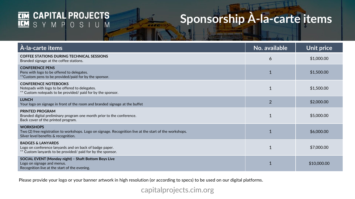# **EIM CAPITAL PROJECTS**<br>**IEM** S Y M P O S I U M

### **Sponsorship À-la-carte items**

| À-la-carte items                                                                                                                                                     | No. available  | Unit price  |
|----------------------------------------------------------------------------------------------------------------------------------------------------------------------|----------------|-------------|
| <b>COFFEE STATIONS DURING TECHNICAL SESSIONS</b><br>Branded signage at the coffee stations.                                                                          | 6              | \$1,000.00  |
| <b>CONFERENCE PENS</b><br>Pens with logo to be offered to delegates.<br>**Custom pens to be provided/paid for by the sponsor.                                        |                | \$1,500.00  |
| <b>CONFERENCE NOTEBOOKS</b><br>Notepads with logo to be offered to delegates.<br>** Custom notepads to be provided/ paid for by the sponsor.                         | $\overline{1}$ | \$1,500.00  |
| <b>LUNCH</b><br>Your logo on signage in front of the room and branded signage at the buffet                                                                          | $\overline{2}$ | \$2,000.00  |
| <b>PRINTED PROGRAM</b><br>Branded digital preliminary program one month prior to the conference.<br>Back cover of the printed program.                               | $\overline{1}$ | \$5,000.00  |
| <b>WORKSHOPS</b><br>Two (2) free registration to workshops. Logo on signage. Recognition live at the start of the workshops.<br>Silver level benefits & recognition. | $\overline{1}$ | \$6,000.00  |
| <b>BADGES &amp; LANYARDS</b><br>Logo on conference lanyards and on back of badge paper.<br>** Custom lanyards to be provided/ paid for by the sponsor.               |                | \$7,000.00  |
| SOCIAL EVENT (Monday night) - Shaft Bottom Boys Live<br>Logo on signage and menus.<br>Recognition live at the start of the evening.                                  |                | \$10,000.00 |

444461

Please provide your logo or your banner artwork in high resolution (or according to specs) to be used on our digital platforms.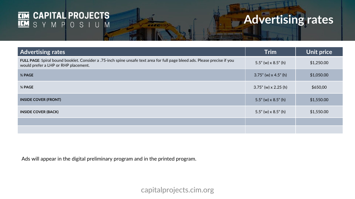# **EIM CAPITAL PROJECTS**<br>**IEM** S Y M P O S I U M

# **Advertising rates**

| <b>Advertising rates</b>                                                                                                                                           | <b>Trim</b>                            | Unit price |
|--------------------------------------------------------------------------------------------------------------------------------------------------------------------|----------------------------------------|------------|
| FULL PAGE: Spiral bound booklet. Consider a .75-inch spine unsafe text area for full page bleed ads. Please precise if you<br>would prefer a LHP or RHP placement. | $5.5^{\circ}$ (w) x 8.5 $^{\circ}$ (h) | \$1,250.00 |
| 1/2 PAGE                                                                                                                                                           | $3.75$ " (w) x 4.5" (h)                | \$1,050.00 |
| 1/4 PAGE                                                                                                                                                           | $3.75$ " (w) x 2.25 (h)                | \$650,00   |
| <b>INSIDE COVER (FRONT)</b>                                                                                                                                        | $5.5$ " (w) x $8.5$ " (h)              | \$1,550.00 |
| <b>INSIDE COVER (BACK)</b>                                                                                                                                         | $5.5^{\circ}$ (w) x 8.5 $^{\circ}$ (h) | \$1,550.00 |
|                                                                                                                                                                    |                                        |            |
|                                                                                                                                                                    |                                        |            |

44440

Ads will appear in the digital preliminary program and in the printed program.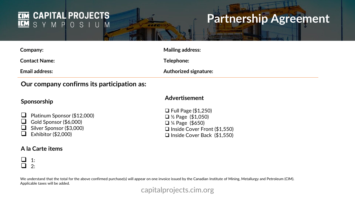#### **CAPITAL PROJECTS CIM IEM** SYMPOSIUM

### **Partnership Agreement**

| Company:                                   | <b>Mailing address:</b>      |
|--------------------------------------------|------------------------------|
| <b>Contact Name:</b>                       | Telephone:                   |
| <b>Email address:</b>                      | <b>Authorized signature:</b> |
| Our company confirms its participation as: |                              |

*<u>ALCOHOL</u>* 

### **Our company confirms its participation as:**

#### **Sponsorship**

### **Advertisement**

■ Platinum Sponsor (\$12,000) Gold Sponsor  $(\$6,000)$  $\Box$  Silver Sponsor (\$3,000)

 $\Box$  Exhibitor (\$2,000)

#### **A la Carte items**

 Full Page (\$1,250) ½ Page (\$1,050) ¼ Page (\$650) □ Inside Cover Front (\$1,550) □ Inside Cover Back (\$1,550)

 $\begin{array}{ccc} \square & 1: \\ \square & 2 \end{array}$  $2:$ 

We understand that the total for the above confirmed purchase(s) will appear on one invoice issued by the Canadian Institute of Mining, Metallurgy and Petroleum (CIM). Applicable taxes will be added.